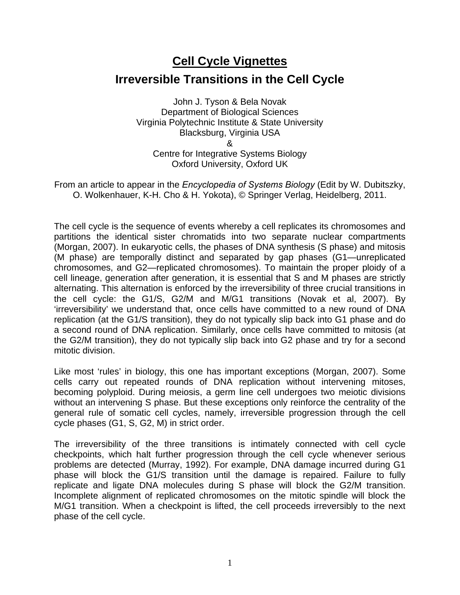# **Cell Cycle Vignettes Irreversible Transitions in the Cell Cycle**

John J. Tyson & Bela Novak Department of Biological Sciences Virginia Polytechnic Institute & State University Blacksburg, Virginia USA & Centre for Integrative Systems Biology Oxford University, Oxford UK

From an article to appear in the *Encyclopedia of Systems Biology* (Edit by W. Dubitszky, O. Wolkenhauer, K-H. Cho & H. Yokota), © Springer Verlag, Heidelberg, 2011.

The cell cycle is the sequence of events whereby a cell replicates its chromosomes and partitions the identical sister chromatids into two separate nuclear compartments (Morgan, 2007). In eukaryotic cells, the phases of DNA synthesis (S phase) and mitosis (M phase) are temporally distinct and separated by gap phases (G1—unreplicated chromosomes, and G2—replicated chromosomes). To maintain the proper ploidy of a cell lineage, generation after generation, it is essential that S and M phases are strictly alternating. This alternation is enforced by the irreversibility of three crucial transitions in the cell cycle: the G1/S, G2/M and M/G1 transitions (Novak et al, 2007). By 'irreversibility' we understand that, once cells have committed to a new round of DNA replication (at the G1/S transition), they do not typically slip back into G1 phase and do a second round of DNA replication. Similarly, once cells have committed to mitosis (at the G2/M transition), they do not typically slip back into G2 phase and try for a second mitotic division.

Like most 'rules' in biology, this one has important exceptions (Morgan, 2007). Some cells carry out repeated rounds of DNA replication without intervening mitoses, becoming polyploid. During meiosis, a germ line cell undergoes two meiotic divisions without an intervening S phase. But these exceptions only reinforce the centrality of the general rule of somatic cell cycles, namely, irreversible progression through the cell cycle phases (G1, S, G2, M) in strict order.

The irreversibility of the three transitions is intimately connected with cell cycle checkpoints, which halt further progression through the cell cycle whenever serious problems are detected (Murray, 1992). For example, DNA damage incurred during G1 phase will block the G1/S transition until the damage is repaired. Failure to fully replicate and ligate DNA molecules during S phase will block the G2/M transition. Incomplete alignment of replicated chromosomes on the mitotic spindle will block the M/G1 transition. When a checkpoint is lifted, the cell proceeds irreversibly to the next phase of the cell cycle.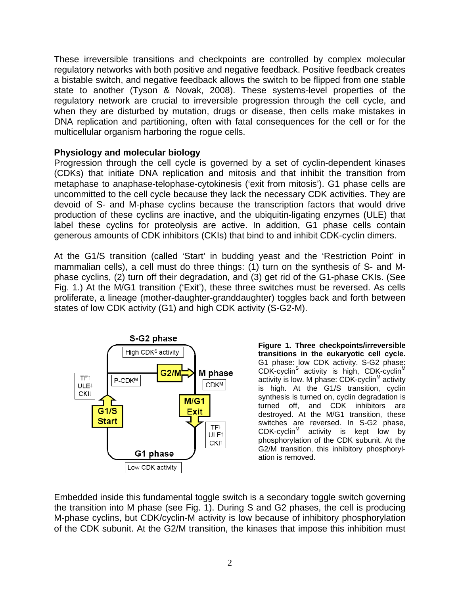These irreversible transitions and checkpoints are controlled by complex molecular regulatory networks with both positive and negative feedback. Positive feedback creates a bistable switch, and negative feedback allows the switch to be flipped from one stable state to another (Tyson & Novak, 2008). These systems-level properties of the regulatory network are crucial to irreversible progression through the cell cycle, and when they are disturbed by mutation, drugs or disease, then cells make mistakes in DNA replication and partitioning, often with fatal consequences for the cell or for the multicellular organism harboring the rogue cells.

### **Physiology and molecular biology**

Progression through the cell cycle is governed by a set of cyclin-dependent kinases (CDKs) that initiate DNA replication and mitosis and that inhibit the transition from metaphase to anaphase-telophase-cytokinesis ('exit from mitosis'). G1 phase cells are uncommitted to the cell cycle because they lack the necessary CDK activities. They are devoid of S- and M-phase cyclins because the transcription factors that would drive production of these cyclins are inactive, and the ubiquitin-ligating enzymes (ULE) that label these cyclins for proteolysis are active. In addition, G1 phase cells contain generous amounts of CDK inhibitors (CKIs) that bind to and inhibit CDK-cyclin dimers.

At the G1/S transition (called 'Start' in budding yeast and the 'Restriction Point' in mammalian cells), a cell must do three things: (1) turn on the synthesis of S- and Mphase cyclins, (2) turn off their degradation, and (3) get rid of the G1-phase CKIs. (See Fig. 1.) At the M/G1 transition ('Exit'), these three switches must be reversed. As cells proliferate, a lineage (mother-daughter-granddaughter) toggles back and forth between states of low CDK activity (G1) and high CDK activity (S-G2-M).



**Figure 1. Three checkpoints/irreversible transitions in the eukaryotic cell cycle.** G1 phase: low CDK activity. S-G2 phase:  $CDK$ -cyclin<sup>S</sup> activity is high, CDK-cyclin<sup>M</sup> activity is low. M phase:  $CDK$ -cyclin<sup>M</sup> activity is high. At the G1/S transition, cyclin synthesis is turned on, cyclin degradation is turned off, and CDK inhibitors are destroyed. At the M/G1 transition, these switches are reversed. In S-G2 phase,  $CDK$ -cyclin<sup>M</sup> activity is kept low by phosphorylation of the CDK subunit. At the G2/M transition, this inhibitory phosphorylation is removed.

Embedded inside this fundamental toggle switch is a secondary toggle switch governing the transition into M phase (see Fig. 1). During S and G2 phases, the cell is producing M-phase cyclins, but CDK/cyclin-M activity is low because of inhibitory phosphorylation of the CDK subunit. At the G2/M transition, the kinases that impose this inhibition must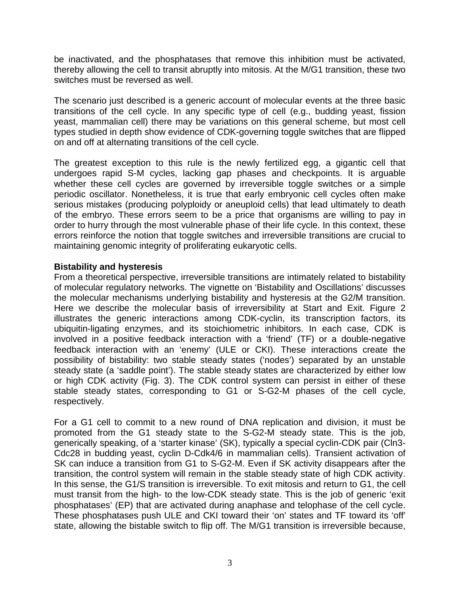be inactivated, and the phosphatases that remove this inhibition must be activated, thereby allowing the cell to transit abruptly into mitosis. At the M/G1 transition, these two switches must be reversed as well.

The scenario just described is a generic account of molecular events at the three basic transitions of the cell cycle. In any specific type of cell (e.g., budding yeast, fission yeast, mammalian cell) there may be variations on this general scheme, but most cell types studied in depth show evidence of CDK-governing toggle switches that are flipped on and off at alternating transitions of the cell cycle.

The greatest exception to this rule is the newly fertilized egg, a gigantic cell that undergoes rapid S-M cycles, lacking gap phases and checkpoints. It is arguable whether these cell cycles are governed by irreversible toggle switches or a simple periodic oscillator. Nonetheless, it is true that early embryonic cell cycles often make serious mistakes (producing polyploidy or aneuploid cells) that lead ultimately to death of the embryo. These errors seem to be a price that organisms are willing to pay in order to hurry through the most vulnerable phase of their life cycle. In this context, these errors reinforce the notion that toggle switches and irreversible transitions are crucial to maintaining genomic integrity of proliferating eukaryotic cells.

### **Bistability and hysteresis**

From a theoretical perspective, irreversible transitions are intimately related to bistability of molecular regulatory networks. The vignette on 'Bistability and Oscillations' discusses the molecular mechanisms underlying bistability and hysteresis at the G2/M transition. Here we describe the molecular basis of irreversibility at Start and Exit. Figure 2 illustrates the generic interactions among CDK-cyclin, its transcription factors, its ubiquitin-ligating enzymes, and its stoichiometric inhibitors. In each case, CDK is involved in a positive feedback interaction with a 'friend' (TF) or a double-negative feedback interaction with an 'enemy' (ULE or CKI). These interactions create the possibility of bistability: two stable steady states ('nodes') separated by an unstable steady state (a 'saddle point'). The stable steady states are characterized by either low or high CDK activity (Fig. 3). The CDK control system can persist in either of these stable steady states, corresponding to G1 or S-G2-M phases of the cell cycle, respectively.

For a G1 cell to commit to a new round of DNA replication and division, it must be promoted from the G1 steady state to the S-G2-M steady state. This is the job, generically speaking, of a 'starter kinase' (SK), typically a special cyclin-CDK pair (Cln3- Cdc28 in budding yeast, cyclin D-Cdk4/6 in mammalian cells). Transient activation of SK can induce a transition from G1 to S-G2-M. Even if SK activity disappears after the transition, the control system will remain in the stable steady state of high CDK activity. In this sense, the G1/S transition is irreversible. To exit mitosis and return to G1, the cell must transit from the high- to the low-CDK steady state. This is the job of generic 'exit phosphatases' (EP) that are activated during anaphase and telophase of the cell cycle. These phosphatases push ULE and CKI toward their 'on' states and TF toward its 'off' state, allowing the bistable switch to flip off. The M/G1 transition is irreversible because,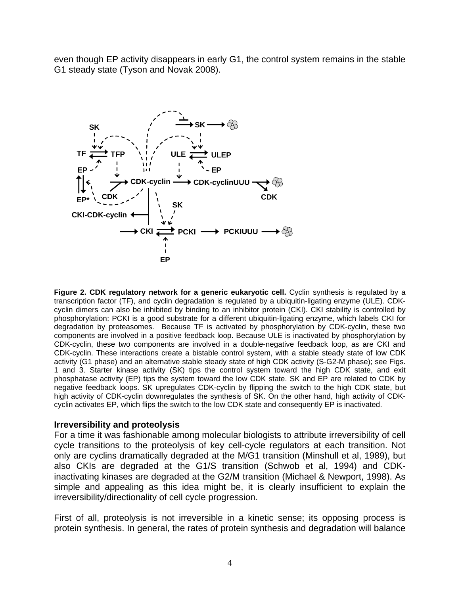even though EP activity disappears in early G1, the control system remains in the stable G1 steady state (Tyson and Novak 2008).



**Figure 2. CDK regulatory network for a generic eukaryotic cell.** Cyclin synthesis is regulated by a transcription factor (TF), and cyclin degradation is regulated by a ubiquitin-ligating enzyme (ULE). CDKcyclin dimers can also be inhibited by binding to an inhibitor protein (CKI). CKI stability is controlled by phosphorylation: PCKI is a good substrate for a different ubiquitin-ligating enzyme, which labels CKI for degradation by proteasomes. Because TF is activated by phosphorylation by CDK-cyclin, these two components are involved in a positive feedback loop. Because ULE is inactivated by phosphorylation by CDK-cyclin, these two components are involved in a double-negative feedback loop, as are CKI and CDK-cyclin. These interactions create a bistable control system, with a stable steady state of low CDK activity (G1 phase) and an alternative stable steady state of high CDK activity (S-G2-M phase); see Figs. 1 and 3. Starter kinase activity (SK) tips the control system toward the high CDK state, and exit phosphatase activity (EP) tips the system toward the low CDK state. SK and EP are related to CDK by negative feedback loops. SK upregulates CDK-cyclin by flipping the switch to the high CDK state, but high activity of CDK-cyclin downregulates the synthesis of SK. On the other hand, high activity of CDKcyclin activates EP, which flips the switch to the low CDK state and consequently EP is inactivated.

#### **Irreversibility and proteolysis**

For a time it was fashionable among molecular biologists to attribute irreversibility of cell cycle transitions to the proteolysis of key cell-cycle regulators at each transition. Not only are cyclins dramatically degraded at the M/G1 transition (Minshull et al, 1989), but also CKIs are degraded at the G1/S transition (Schwob et al, 1994) and CDKinactivating kinases are degraded at the G2/M transition (Michael & Newport, 1998). As simple and appealing as this idea might be, it is clearly insufficient to explain the irreversibility/directionality of cell cycle progression.

First of all, proteolysis is not irreversible in a kinetic sense; its opposing process is protein synthesis. In general, the rates of protein synthesis and degradation will balance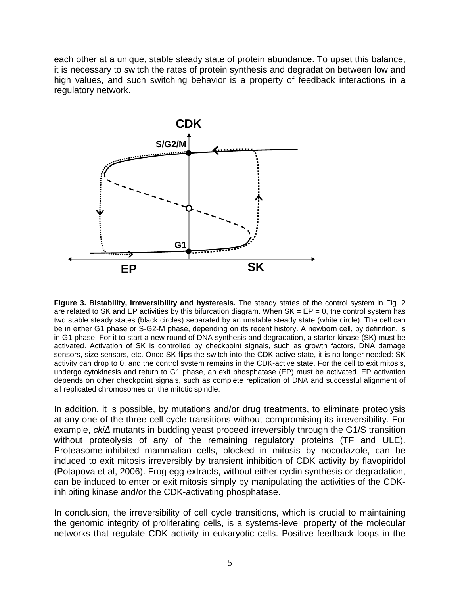each other at a unique, stable steady state of protein abundance. To upset this balance, it is necessary to switch the rates of protein synthesis and degradation between low and high values, and such switching behavior is a property of feedback interactions in a regulatory network.



**Figure 3. Bistability, irreversibility and hysteresis.** The steady states of the control system in Fig. 2 are related to SK and EP activities by this bifurcation diagram. When  $SK = FP = 0$ , the control system has two stable steady states (black circles) separated by an unstable steady state (white circle). The cell can be in either G1 phase or S-G2-M phase, depending on its recent history. A newborn cell, by definition, is in G1 phase. For it to start a new round of DNA synthesis and degradation, a starter kinase (SK) must be activated. Activation of SK is controlled by checkpoint signals, such as growth factors, DNA damage sensors, size sensors, etc. Once SK flips the switch into the CDK-active state, it is no longer needed: SK activity can drop to 0, and the control system remains in the CDK-active state. For the cell to exit mitosis, undergo cytokinesis and return to G1 phase, an exit phosphatase (EP) must be activated. EP activation depends on other checkpoint signals, such as complete replication of DNA and successful alignment of all replicated chromosomes on the mitotic spindle.

In addition, it is possible, by mutations and/or drug treatments, to eliminate proteolysis at any one of the three cell cycle transitions without compromising its irreversibility. For example, *ckiΔ* mutants in budding yeast proceed irreversibly through the G1/S transition without proteolysis of any of the remaining regulatory proteins (TF and ULE). Proteasome-inhibited mammalian cells, blocked in mitosis by nocodazole, can be induced to exit mitosis irreversibly by transient inhibition of CDK activity by flavopiridol (Potapova et al, 2006). Frog egg extracts, without either cyclin synthesis or degradation, can be induced to enter or exit mitosis simply by manipulating the activities of the CDKinhibiting kinase and/or the CDK-activating phosphatase.

In conclusion, the irreversibility of cell cycle transitions, which is crucial to maintaining the genomic integrity of proliferating cells, is a systems-level property of the molecular networks that regulate CDK activity in eukaryotic cells. Positive feedback loops in the